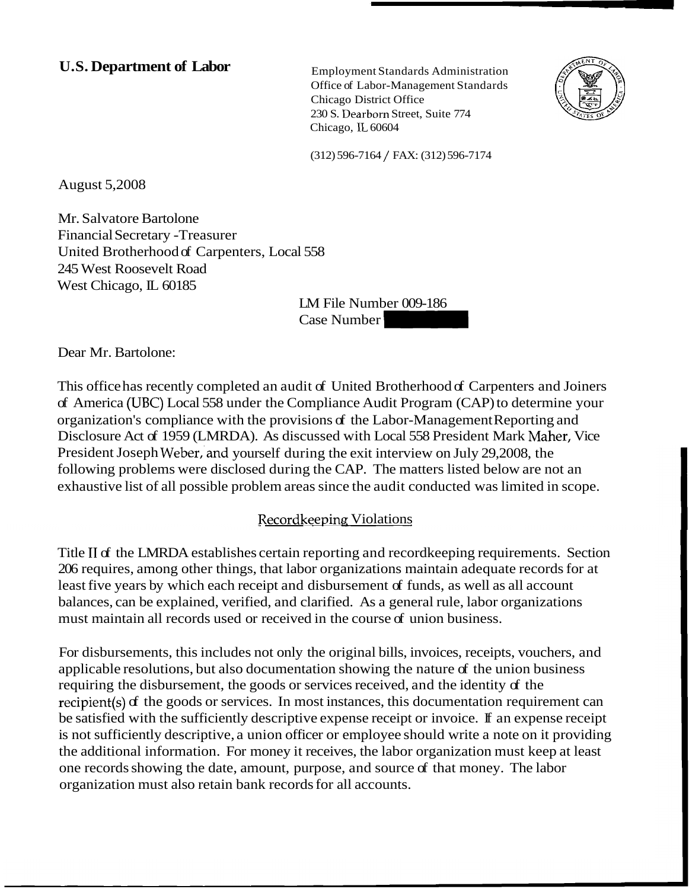# **U.S. Department of Labor** Employment Standards Administration

Office of Labor-Management Standards Chicago District Office 230 S. Dearborn Street, Suite 774 Chicago, IL 60604 Office of Labor-Management Standards<br>
Chicago District Office<br>
230 S. Dearborn Street, Suite 774<br>
Chicago, IL 60604<br>
(312) 596-7164 / FAX: (312) 596-7174<br>
1558<br>
LM File Number 009-186<br>
Case Number



(312) 596-7164 / FAX: (312) 596-7174

August 5,2008

Mr. Salvatore Bartolone Financial Secretary -Treasurer United Brotherhood of Carpenters, Local 558 245 West Roosevelt Road West Chicago, IL 60185

LM File Number 009-186

Dear Mr. Bartolone:

This office has recently completed an audit of United Brotherhood of Carpenters and Joiners of America (UBC) Local 558 under the Compliance Audit Program (CAP) to determine your organization's compliance with the provisions of the Labor-Management Reporting and Disclosure Act of 1959 (LMRDA). As discussed with Local 558 President Mark Maher, Vice President Joseph Weber, and yourself during the exit interview on July 29,2008, the following problems were disclosed during the CAP. The matters listed below are not an exhaustive list of all possible problem areas since the audit conducted was limited in scope.

#### Recordkeeping Violations

Title II of the LMRDA establishes certain reporting and record keeping requirements. Section 206 requires, among other things, that labor organizations maintain adequate records for at least five years by which each receipt and disbursement of funds, as well as all account balances, can be explained, verified, and clarified. As a general rule, labor organizations must maintain all records used or received in the course of union business.

For disbursements, this includes not only the original bills, invoices, receipts, vouchers, and applicable resolutions, but also documentation showing the nature of the union business requiring the disbursement, the goods or services received, and the identity of the recipient(s) of the goods or services. In most instances, this documentation requirement can be satisfied with the sufficiently descriptive expense receipt or invoice. If an expense receipt is not sufficiently descriptive, a union officer or employee should write a note on it providing the additional information. For money it receives, the labor organization must keep at least one records showing the date, amount, purpose, and source of that money. The labor organization must also retain bank records for all accounts.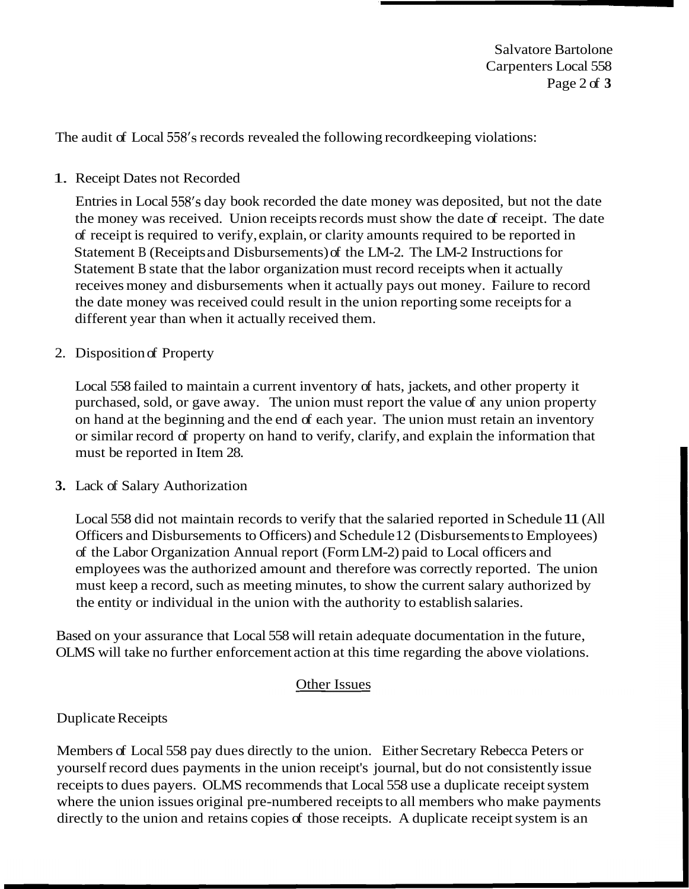Salvatore Bartolone Carpenters Local 558 Page 2 of **3** 

The audit of Local 558's records revealed the following recordkeeping violations:

### 1. Receipt Dates not Recorded

Entries in Local 558's day book recorded the date money was deposited, but not the date the money was received. Union receipts records must show the date of receipt. The date of receipt is required to verify, explain, or clarity amounts required to be reported in Statement B (Receipts and Disbursements) of the LM-2. The LM-2 Instructions for Statement B state that the labor organization must record receipts when it actually receives money and disbursements when it actually pays out money. Failure to record the date money was received could result in the union reporting some receipts for a different year than when it actually received them.

#### 2. Disposition of Property

Local 558 failed to maintain a current inventory of hats, jackets, and other property it purchased, sold, or gave away. The union must report the value of any union property on hand at the beginning and the end of each year. The union must retain an inventory or similar record of property on hand to verify, clarify, and explain the information that must be reported in Item 28.

#### **3.** Lack of Salary Authorization

Local 558 did not maintain records to verify that the salaried reported in Schedule 11 (All Officers and Disbursements to Officers) and Schedule 12 (Disbursements to Employees) of the Labor Organization Annual report (Form LM-2) paid to Local officers and employees was the authorized amount and therefore was correctly reported. The union must keep a record, such as meeting minutes, to show the current salary authorized by the entity or individual in the union with the authority to establish salaries.

Based on your assurance that Local 558 will retain adequate documentation in the future, OLMS will take no further enforcement action at this time regarding the above violations.

## Other Issues

#### Duplicate Receipts

Members of Local 558 pay dues directly to the union. Either Secretary Rebecca Peters or yourself record dues payments in the union receipt's journal, but do not consistently issue receipts to dues payers. OLMS recommends that Local 558 use a duplicate receipt system where the union issues original pre-numbered receipts to all members who make payments directly to the union and retains copies of those receipts. A duplicate receipt system is an